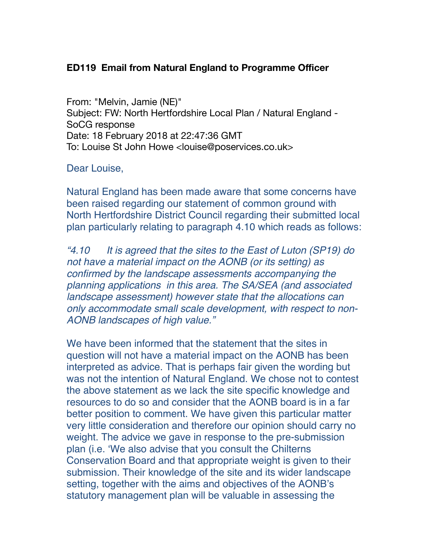## **ED119 Email from Natural England to Programme Officer**

From: "Melvin, Jamie (NE)" Subject: FW: North Hertfordshire Local Plan / Natural England - SoCG response Date: 18 February 2018 at 22:47:36 GMT To: Louise St John Howe <louise@poservices.co.uk>

## Dear Louise,

Natural England has been made aware that some concerns have been raised regarding our statement of common ground with North Hertfordshire District Council regarding their submitted local plan particularly relating to paragraph 4.10 which reads as follows:

*"4.10 It is agreed that the sites to the East of Luton (SP19) do not have a material impact on the AONB (or its setting) as confirmed by the landscape assessments accompanying the planning applications in this area. The SA/SEA (and associated landscape assessment) however state that the allocations can only accommodate small scale development, with respect to non-AONB landscapes of high value."*

We have been informed that the statement that the sites in question will not have a material impact on the AONB has been interpreted as advice. That is perhaps fair given the wording but was not the intention of Natural England. We chose not to contest the above statement as we lack the site specific knowledge and resources to do so and consider that the AONB board is in a far better position to comment. We have given this particular matter very little consideration and therefore our opinion should carry no weight. The advice we gave in response to the pre-submission plan (i.e. 'We also advise that you consult the Chilterns Conservation Board and that appropriate weight is given to their submission. Their knowledge of the site and its wider landscape setting, together with the aims and objectives of the AONB's statutory management plan will be valuable in assessing the